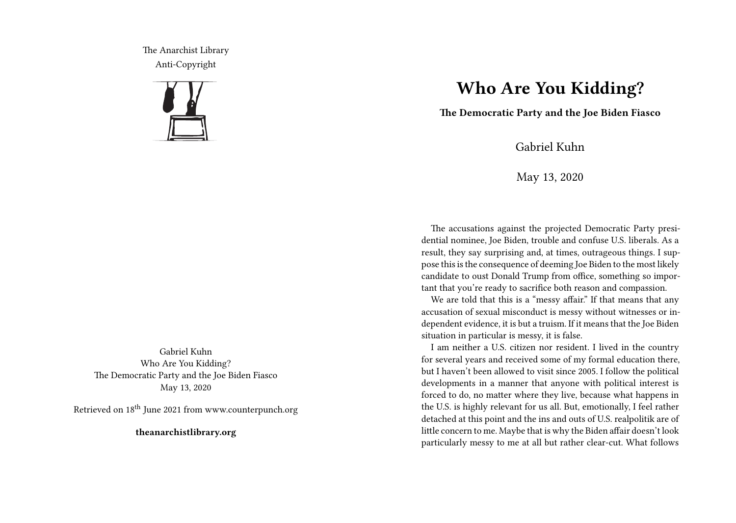The Anarchist Library Anti-Copyright



Gabriel Kuhn Who Are You Kidding? The Democratic Party and the Joe Biden Fiasco May 13, 2020

Retrieved on 18<sup>th</sup> June 2021 from www.counterpunch.org

**theanarchistlibrary.org**

## **Who Are You Kidding?**

**The Democratic Party and the Joe Biden Fiasco**

Gabriel Kuhn

May 13, 2020

The accusations against the projected Democratic Party presidential nominee, Joe Biden, trouble and confuse U.S. liberals. As a result, they say surprising and, at times, outrageous things. I suppose this is the consequence of deeming Joe Biden to the most likely candidate to oust Donald Trump from office, something so important that you're ready to sacrifice both reason and compassion.

We are told that this is a "messy affair." If that means that any accusation of sexual misconduct is messy without witnesses or independent evidence, it is but a truism. If it means that the Joe Biden situation in particular is messy, it is false.

I am neither a U.S. citizen nor resident. I lived in the country for several years and received some of my formal education there, but I haven't been allowed to visit since 2005. I follow the political developments in a manner that anyone with political interest is forced to do, no matter where they live, because what happens in the U.S. is highly relevant for us all. But, emotionally, I feel rather detached at this point and the ins and outs of U.S. realpolitik are of little concern to me. Maybe that is why the Biden affair doesn't look particularly messy to me at all but rather clear-cut. What follows